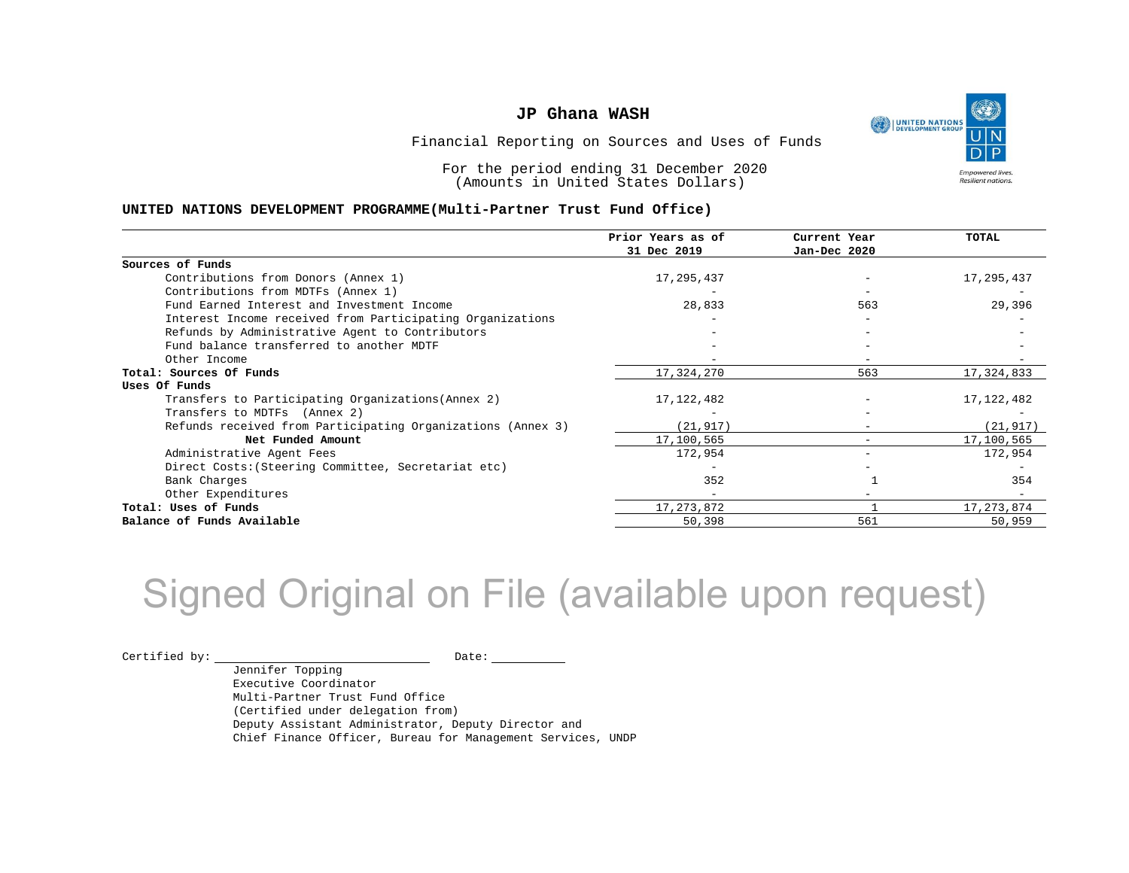

Financial Reporting on Sources and Uses of Funds

For the period ending 31 December 2020 (Amounts in United States Dollars)

#### **UNITED NATIONS DEVELOPMENT PROGRAMME(Multi-Partner Trust Fund Office)**

|                                                             | Prior Years as of<br>31 Dec 2019 | Current Year<br>Jan-Dec 2020 | <b>TOTAL</b> |
|-------------------------------------------------------------|----------------------------------|------------------------------|--------------|
| Sources of Funds                                            |                                  |                              |              |
| Contributions from Donors (Annex 1)                         | 17,295,437                       |                              | 17,295,437   |
| Contributions from MDTFs (Annex 1)                          |                                  |                              |              |
| Fund Earned Interest and Investment Income                  | 28,833                           | 563                          | 29,396       |
| Interest Income received from Participating Organizations   |                                  |                              |              |
| Refunds by Administrative Agent to Contributors             |                                  |                              |              |
| Fund balance transferred to another MDTF                    |                                  |                              |              |
| Other Income                                                |                                  |                              |              |
| Total: Sources Of Funds                                     | 17,324,270                       | 563                          | 17,324,833   |
| Uses Of Funds                                               |                                  |                              |              |
| Transfers to Participating Organizations (Annex 2)          | 17, 122, 482                     |                              | 17, 122, 482 |
| Transfers to MDTFs (Annex 2)                                |                                  |                              |              |
| Refunds received from Participating Organizations (Annex 3) | (21, 917)                        | $\overline{\phantom{0}}$     | (21, 917)    |
| Net Funded Amount                                           | 17,100,565                       |                              | 17,100,565   |
| Administrative Agent Fees                                   | 172,954                          | -                            | 172,954      |
| Direct Costs: (Steering Committee, Secretariat etc)         |                                  |                              |              |
| Bank Charges                                                | 352                              |                              | 354          |
| Other Expenditures                                          |                                  |                              |              |
| Total: Uses of Funds                                        | 17, 273, 872                     |                              | 17,273,874   |
| Balance of Funds Available                                  | 50,398                           | 561                          | 50,959       |

## Signed Original on File (available upon request)

 $\begin{picture}(180,10) \put(0,0){\vector(1,0){100}} \put(15,0){\vector(1,0){100}} \put(15,0){\vector(1,0){100}} \put(15,0){\vector(1,0){100}} \put(15,0){\vector(1,0){100}} \put(15,0){\vector(1,0){100}} \put(15,0){\vector(1,0){100}} \put(15,0){\vector(1,0){100}} \put(15,0){\vector(1,0){100}} \put(15,0){\vector(1,0){100}} \put(15,0){\vector(1,0){100}}$ 

Jennifer Topping Executive Coordinator Multi-Partner Trust Fund Office (Certified under delegation from) Deputy Assistant Administrator, Deputy Director and Chief Finance Officer, Bureau for Management Services, UNDP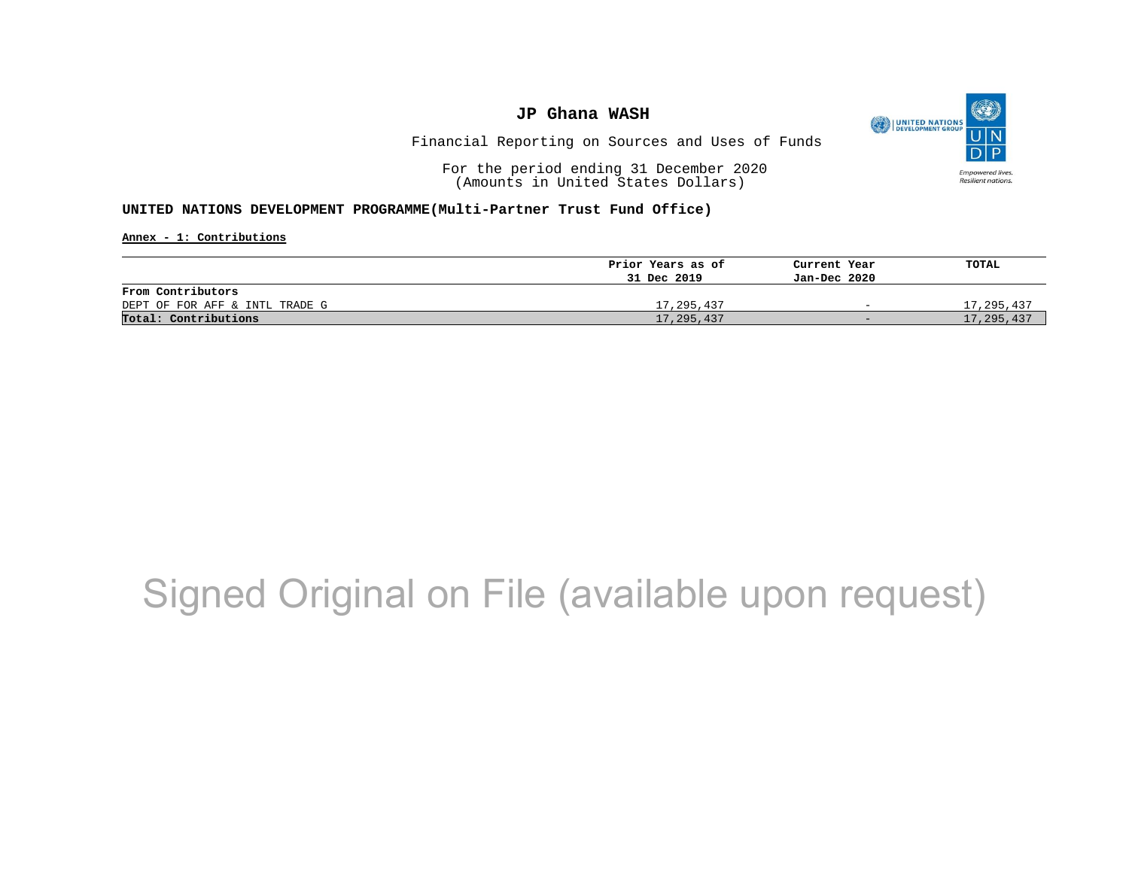

Financial Reporting on Sources and Uses of Funds

For the period ending 31 December 2020 (Amounts in United States Dollars)

**UNITED NATIONS DEVELOPMENT PROGRAMME(Multi-Partner Trust Fund Office)**

**Annex - 1: Contributions**

|                                | Prior Years as of | Current Year             | TOTAL      |
|--------------------------------|-------------------|--------------------------|------------|
|                                | 31 Dec 2019       | Jan-Dec 2020             |            |
| From Contributors              |                   |                          |            |
| DEPT OF FOR AFF & INTL TRADE G | 17,295,437        | $\overline{\phantom{0}}$ | 17,295,437 |
| Total: Contributions           | 17,295,437        | $-$                      | 17,295,437 |

## Signed Original on File (available upon request)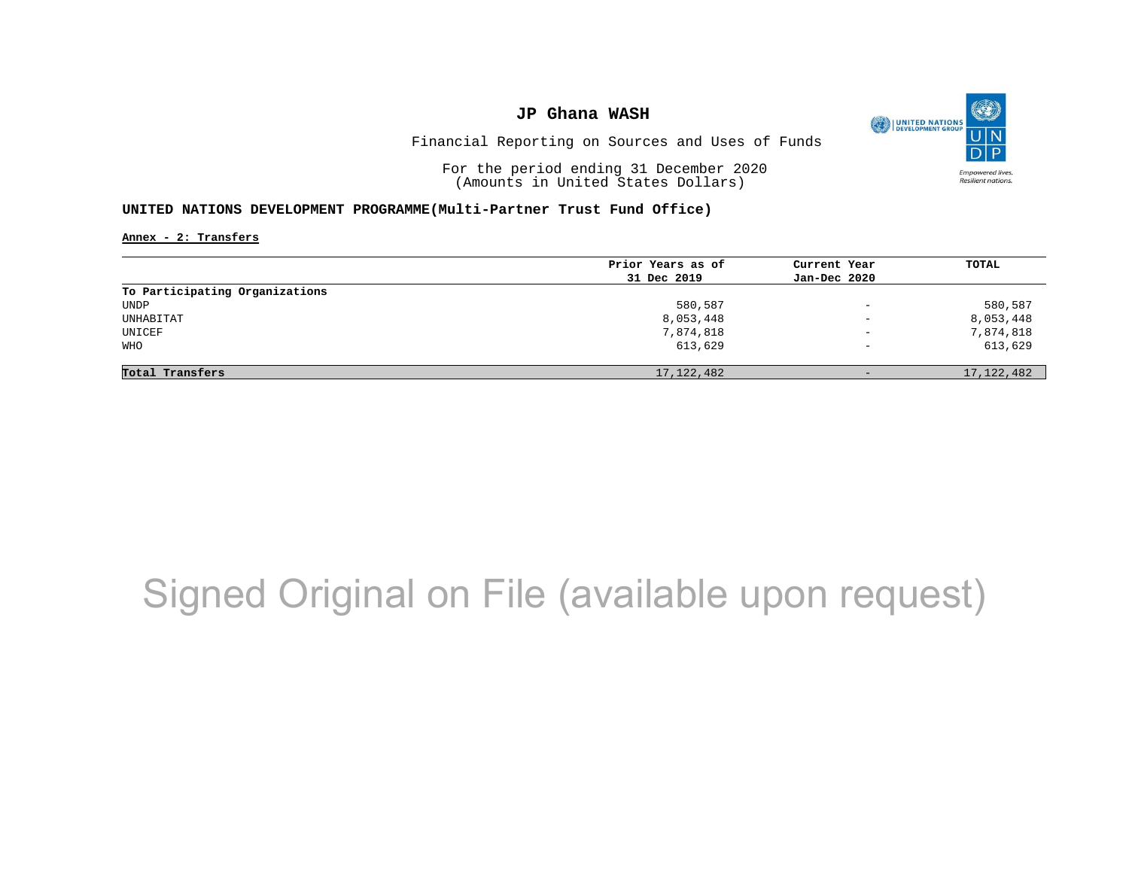

Financial Reporting on Sources and Uses of Funds

For the period ending 31 December 2020 (Amounts in United States Dollars)

#### **UNITED NATIONS DEVELOPMENT PROGRAMME(Multi-Partner Trust Fund Office)**

**Annex - 2: Transfers**

|                                | Prior Years as of | Current Year             | <b>TOTAL</b> |
|--------------------------------|-------------------|--------------------------|--------------|
|                                | 31 Dec 2019       | Jan-Dec 2020             |              |
| To Participating Organizations |                   |                          |              |
| UNDP                           | 580,587           | $\overline{\phantom{0}}$ | 580,587      |
| UNHABITAT                      | 8,053,448         | $\overline{\phantom{0}}$ | 8,053,448    |
| UNICEF                         | 7,874,818         | $\overline{\phantom{a}}$ | 7,874,818    |
| WHO                            | 613,629           | $\overline{\phantom{m}}$ | 613,629      |
|                                |                   |                          |              |
| Total Transfers                | 17, 122, 482      | $-$                      | 17, 122, 482 |

## Signed Original on File (available upon request)